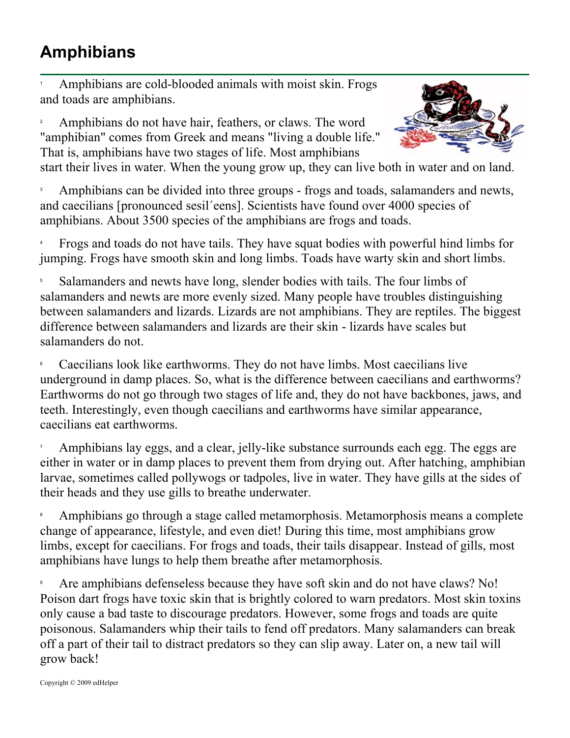## **Amphibians**

1 Amphibians are cold-blooded animals with moist skin. Frogs and toads are amphibians.

2 Amphibians do not have hair, feathers, or claws. The word "amphibian" comes from Greek and means "living a double life." That is, amphibians have two stages of life. Most amphibians



start their lives in water. When the young grow up, they can live both in water and on land.

3 Amphibians can be divided into three groups - frogs and toads, salamanders and newts, and caecilians [pronounced sesil´eens]. Scientists have found over 4000 species of amphibians. About 3500 species of the amphibians are frogs and toads.

4 Frogs and toads do not have tails. They have squat bodies with powerful hind limbs for jumping. Frogs have smooth skin and long limbs. Toads have warty skin and short limbs.

5 Salamanders and newts have long, slender bodies with tails. The four limbs of salamanders and newts are more evenly sized. Many people have troubles distinguishing between salamanders and lizards. Lizards are not amphibians. They are reptiles. The biggest difference between salamanders and lizards are their skin - lizards have scales but salamanders do not.

6 Caecilians look like earthworms. They do not have limbs. Most caecilians live underground in damp places. So, what is the difference between caecilians and earthworms? Earthworms do not go through two stages of life and, they do not have backbones, jaws, and teeth. Interestingly, even though caecilians and earthworms have similar appearance, caecilians eat earthworms.

7 Amphibians lay eggs, and a clear, jelly-like substance surrounds each egg. The eggs are either in water or in damp places to prevent them from drying out. After hatching, amphibian larvae, sometimes called pollywogs or tadpoles, live in water. They have gills at the sides of their heads and they use gills to breathe underwater.

8 Amphibians go through a stage called metamorphosis. Metamorphosis means a complete change of appearance, lifestyle, and even diet! During this time, most amphibians grow limbs, except for caecilians. For frogs and toads, their tails disappear. Instead of gills, most amphibians have lungs to help them breathe after metamorphosis.

9 Are amphibians defenseless because they have soft skin and do not have claws? No! Poison dart frogs have toxic skin that is brightly colored to warn predators. Most skin toxins only cause a bad taste to discourage predators. However, some frogs and toads are quite poisonous. Salamanders whip their tails to fend off predators. Many salamanders can break off a part of their tail to distract predators so they can slip away. Later on, a new tail will grow back!